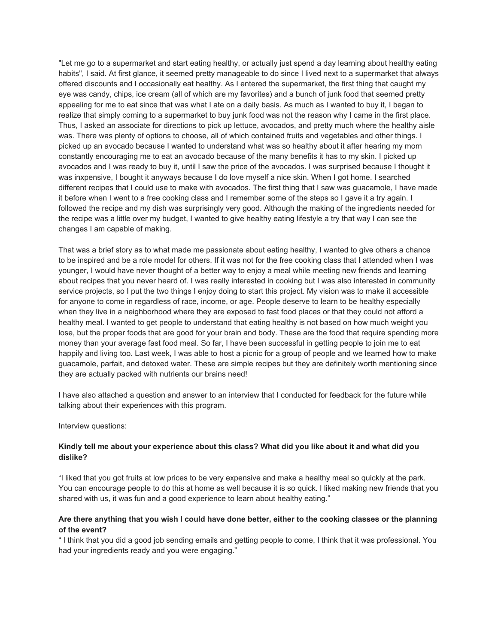"Let me go to a supermarket and start eating healthy, or actually just spend a day learning about healthy eating habits", I said. At first glance, it seemed pretty manageable to do since I lived next to a supermarket that always offered discounts and I occasionally eat healthy. As I entered the supermarket, the first thing that caught my eye was candy, chips, ice cream (all of which are my favorites) and a bunch of junk food that seemed pretty appealing for me to eat since that was what I ate on a daily basis. As much as I wanted to buy it, I began to realize that simply coming to a supermarket to buy junk food was not the reason why I came in the first place. Thus, I asked an associate for directions to pick up lettuce, avocados, and pretty much where the healthy aisle was. There was plenty of options to choose, all of which contained fruits and vegetables and other things. I picked up an avocado because I wanted to understand what was so healthy about it after hearing my mom constantly encouraging me to eat an avocado because of the many benefits it has to my skin. I picked up avocados and I was ready to buy it, until I saw the price of the avocados. I was surprised because I thought it was inxpensive, I bought it anyways because I do love myself a nice skin. When I got home. I searched different recipes that I could use to make with avocados. The first thing that I saw was guacamole, I have made it before when I went to a free cooking class and I remember some of the steps so I gave it a try again. I followed the recipe and my dish was surprisingly very good. Although the making of the ingredients needed for the recipe was a little over my budget, I wanted to give healthy eating lifestyle a try that way I can see the changes I am capable of making.

That was a brief story as to what made me passionate about eating healthy, I wanted to give others a chance to be inspired and be a role model for others. If it was not for the free cooking class that I attended when I was younger, I would have never thought of a better way to enjoy a meal while meeting new friends and learning about recipes that you never heard of. I was really interested in cooking but I was also interested in community service projects, so I put the two things I enjoy doing to start this project. My vision was to make it accessible for anyone to come in regardless of race, income, or age. People deserve to learn to be healthy especially when they live in a neighborhood where they are exposed to fast food places or that they could not afford a healthy meal. I wanted to get people to understand that eating healthy is not based on how much weight you lose, but the proper foods that are good for your brain and body. These are the food that require spending more money than your average fast food meal. So far, I have been successful in getting people to join me to eat happily and living too. Last week, I was able to host a picnic for a group of people and we learned how to make guacamole, parfait, and detoxed water. These are simple recipes but they are definitely worth mentioning since they are actually packed with nutrients our brains need!

I have also attached a question and answer to an interview that I conducted for feedback for the future while talking about their experiences with this program.

Interview questions:

## Kindly tell me about your experience about this class? What did you like about it and what did you **dislike?**

"I liked that you got fruits at low prices to be very expensive and make a healthy meal so quickly at the park. You can encourage people to do this at home as well because it is so quick. I liked making new friends that you shared with us, it was fun and a good experience to learn about healthy eating."

## Are there anything that you wish I could have done better, either to the cooking classes or the planning **of the event?**

" I think that you did a good job sending emails and getting people to come, I think that it was professional. You had your ingredients ready and you were engaging."